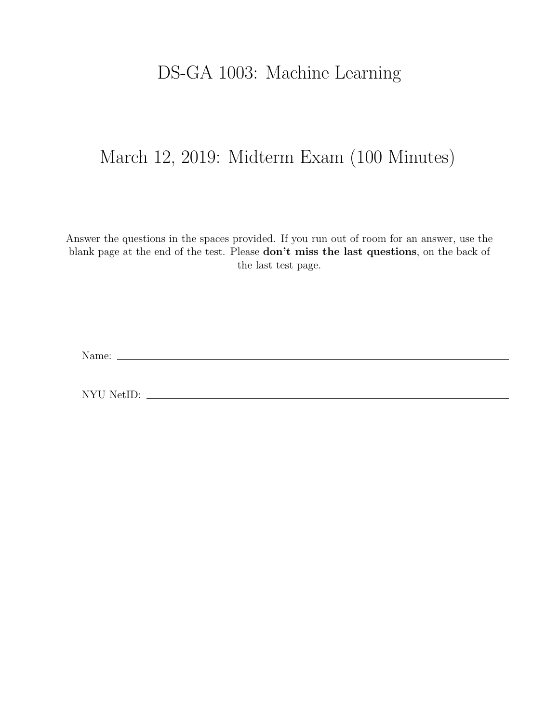## DS-GA 1003: Machine Learning

## March 12, 2019: Midterm Exam (100 Minutes)

Answer the questions in the spaces provided. If you run out of room for an answer, use the blank page at the end of the test. Please don't miss the last questions, on the back of the last test page.

Name:

NYU NetID: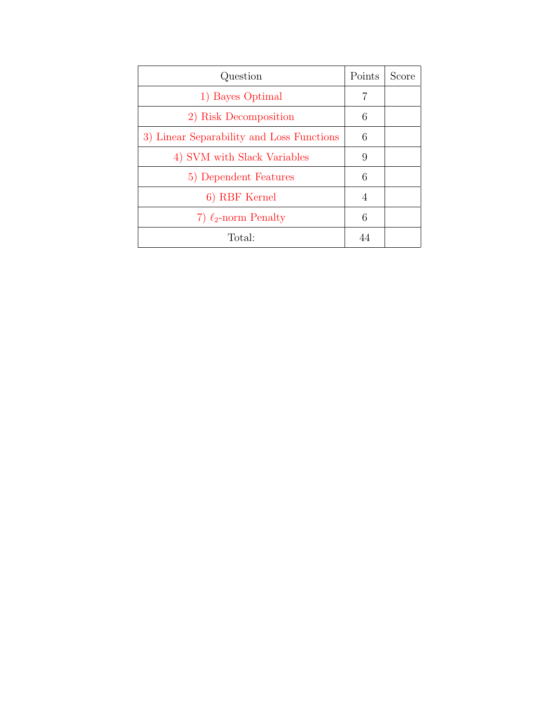| Question                                  | Points | Score |
|-------------------------------------------|--------|-------|
| 1) Bayes Optimal                          | 7      |       |
| 2) Risk Decomposition                     | 6      |       |
| 3) Linear Separability and Loss Functions | 6      |       |
| 4) SVM with Slack Variables               | 9      |       |
| 5) Dependent Features                     | 6      |       |
| 6) RBF Kernel                             | 4      |       |
| 7) $\ell_2$ -norm Penalty                 | 6      |       |
| Total:                                    | 44     |       |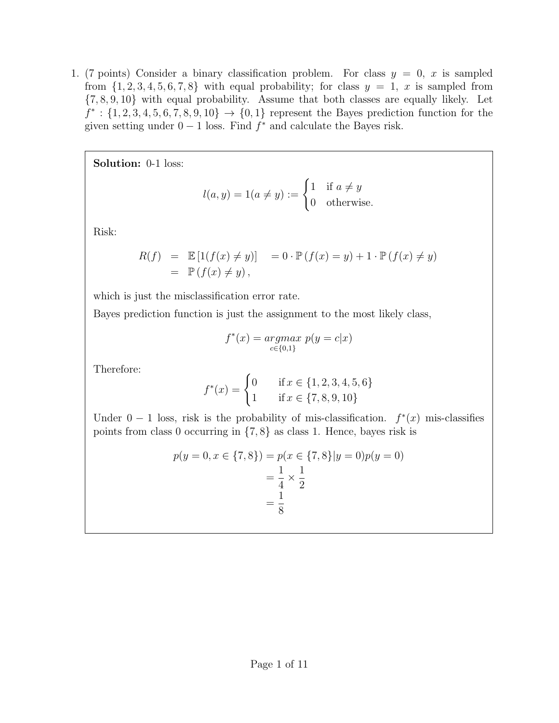<span id="page-2-0"></span>1. (7 points) Consider a binary classification problem. For class  $y = 0$ , x is sampled from  $\{1, 2, 3, 4, 5, 6, 7, 8\}$  with equal probability; for class  $y = 1$ , x is sampled from {7, 8, 9, 10} with equal probability. Assume that both classes are equally likely. Let  $f^* : \{1, 2, 3, 4, 5, 6, 7, 8, 9, 10\} \rightarrow \{0, 1\}$  represent the Bayes prediction function for the given setting under  $0 - 1$  loss. Find  $f^*$  and calculate the Bayes risk.

Solution: 0-1 loss:

$$
l(a, y) = 1(a \neq y) := \begin{cases} 1 & \text{if } a \neq y \\ 0 & \text{otherwise.} \end{cases}
$$

Risk:

$$
R(f) = \mathbb{E}[1(f(x) \neq y)] = 0 \cdot \mathbb{P}(f(x) = y) + 1 \cdot \mathbb{P}(f(x) \neq y)
$$
  
=  $\mathbb{P}(f(x) \neq y)$ ,

which is just the misclassification error rate.

Bayes prediction function is just the assignment to the most likely class,

$$
f^*(x) = \underset{c \in \{0,1\}}{\operatorname{argmax}} \ p(y = c | x)
$$

Therefore:

$$
f^*(x) = \begin{cases} 0 & \text{if } x \in \{1, 2, 3, 4, 5, 6\} \\ 1 & \text{if } x \in \{7, 8, 9, 10\} \end{cases}
$$

Under  $0-1$  loss, risk is the probability of mis-classification.  $f^*(x)$  mis-classifies points from class 0 occurring in {7, 8} as class 1. Hence, bayes risk is

$$
p(y = 0, x \in \{7, 8\}) = p(x \in \{7, 8\}|y = 0)p(y = 0)
$$

$$
= \frac{1}{4} \times \frac{1}{2}
$$

$$
= \frac{1}{8}
$$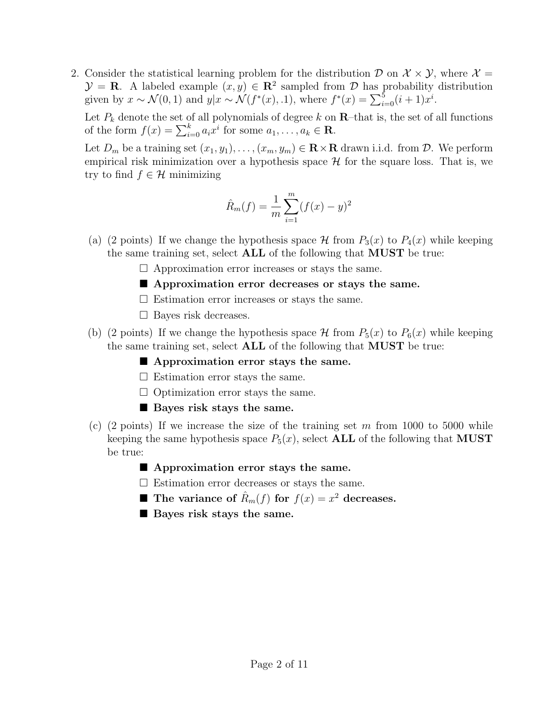<span id="page-3-0"></span>2. Consider the statistical learning problem for the distribution  $\mathcal D$  on  $\mathcal X \times \mathcal Y$ , where  $\mathcal X =$  $\mathcal{Y} = \mathbf{R}$ . A labeled example  $(x, y) \in \mathbf{R}^2$  sampled from  $\mathcal{D}$  has probability distribution given by  $x \sim \mathcal{N}(0, 1)$  and  $y|x \sim \mathcal{N}(f^*(x), 1)$ , where  $f^*(x) = \sum_{i=0}^{5} (i+1)x^i$ .

Let  $P_k$  denote the set of all polynomials of degree k on  $\mathbb{R}$ -that is, the set of all functions of the form  $f(x) = \sum_{i=0}^{k} a_i x^i$  for some  $a_1, \ldots, a_k \in \mathbf{R}$ .

Let  $D_m$  be a training set  $(x_1, y_1), \ldots, (x_m, y_m) \in \mathbb{R} \times \mathbb{R}$  drawn i.i.d. from  $D$ . We perform empirical risk minimization over a hypothesis space  $\mathcal H$  for the square loss. That is, we try to find  $f \in \mathcal{H}$  minimizing

$$
\hat{R}_m(f) = \frac{1}{m} \sum_{i=1}^m (f(x) - y)^2
$$

- (a) (2 points) If we change the hypothesis space  $\mathcal H$  from  $P_3(x)$  to  $P_4(x)$  while keeping the same training set, select ALL of the following that MUST be true:
	- $\Box$  Approximation error increases or stays the same.
	- **Approximation error decreases or stays the same.**
	- $\square$  Estimation error increases or stays the same.
	- $\Box$  Bayes risk decreases.
- (b) (2 points) If we change the hypothesis space  $\mathcal H$  from  $P_5(x)$  to  $P_6(x)$  while keeping the same training set, select ALL of the following that MUST be true:
	- **Approximation error stays the same.**
	- $\square$  Estimation error stays the same.
	- $\Box$  Optimization error stays the same.
	- **Bayes risk stays the same.**
- (c) (2 points) If we increase the size of the training set m from 1000 to 5000 while keeping the same hypothesis space  $P_5(x)$ , select **ALL** of the following that **MUST** be true:
	- **Approximation error stays the same.**
	- $\square$  Estimation error decreases or stays the same.
	- **The variance of**  $\hat{R}_m(f)$  for  $f(x) = x^2$  decreases.
	- Bayes risk stays the same.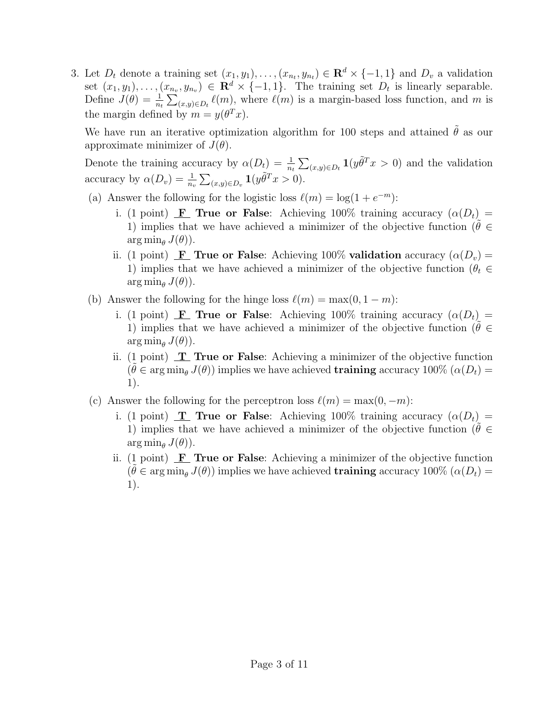<span id="page-4-0"></span>3. Let  $D_t$  denote a training set  $(x_1, y_1), \ldots, (x_{n_t}, y_{n_t}) \in \mathbb{R}^d \times \{-1, 1\}$  and  $D_v$  a validation set  $(x_1, y_1), \ldots, (x_{n_v}, y_{n_v}) \in \mathbf{R}^d \times \{-1, 1\}.$  The training set  $D_t$  is linearly separable. Define  $J(\theta) = \frac{1}{n_t} \sum_{(x,y)\in D_t} \ell(m)$ , where  $\ell(m)$  is a margin-based loss function, and m is the margin defined by  $m = y(\theta^T x)$ .

We have run an iterative optimization algorithm for 100 steps and attained  $\ddot{\theta}$  as our approximate minimizer of  $J(\theta)$ .

Denote the training accuracy by  $\alpha(D_t) = \frac{1}{n_t} \sum_{(x,y)\in D_t} \mathbf{1}(y \tilde{\theta}^T x > 0)$  and the validation accuracy by  $\alpha(D_v) = \frac{1}{n_v} \sum_{(x,y) \in D_v} \mathbf{1}(y \tilde{\theta}^T x > 0).$ 

- (a) Answer the following for the logistic loss  $\ell(m) = \log(1 + e^{-m})$ :
	- i. (1 point) **F** True or False: Achieving 100% training accuracy  $(\alpha(D_t))$  = 1) implies that we have achieved a minimizer of the objective function ( $\theta \in$  $\arg \min_{\theta} J(\theta)$ .
	- ii. (1 point) **F** True or False: Achieving 100% validation accuracy  $(\alpha(D_v) =$ 1) implies that we have achieved a minimizer of the objective function ( $\theta_t \in$  $\arg \min_{\theta} J(\theta)$ ).
- (b) Answer the following for the hinge loss  $\ell(m) = \max(0, 1 m)$ :
	- i. (1 point) **F** True or False: Achieving 100% training accuracy  $(\alpha(D_t))$  = 1) implies that we have achieved a minimizer of the objective function ( $\theta \in$  $\arg \min_{\theta} J(\theta)$ ).
	- ii. (1 point)  $\mathbf{T}$  True or False: Achieving a minimizer of the objective function  $(\tilde{\theta} \in \arg\min_{\theta} J(\theta))$  implies we have achieved **training** accuracy 100% ( $\alpha(D_t)$ ) 1).
- (c) Answer the following for the perceptron loss  $\ell(m) = \max(0, -m)$ :
	- i. (1 point) **T** True or False: Achieving 100% training accuracy  $(\alpha(D_t))$  = 1) implies that we have achieved a minimizer of the objective function ( $\theta \in$  $\arg \min_{\theta} J(\theta)$ .
	- ii. (1 point)  $\mathbf{F}$  True or False: Achieving a minimizer of the objective function  $(\tilde{\theta} \in \arg\min_{\theta} J(\theta))$  implies we have achieved **training** accuracy 100% ( $\alpha(D_t)$ ) 1).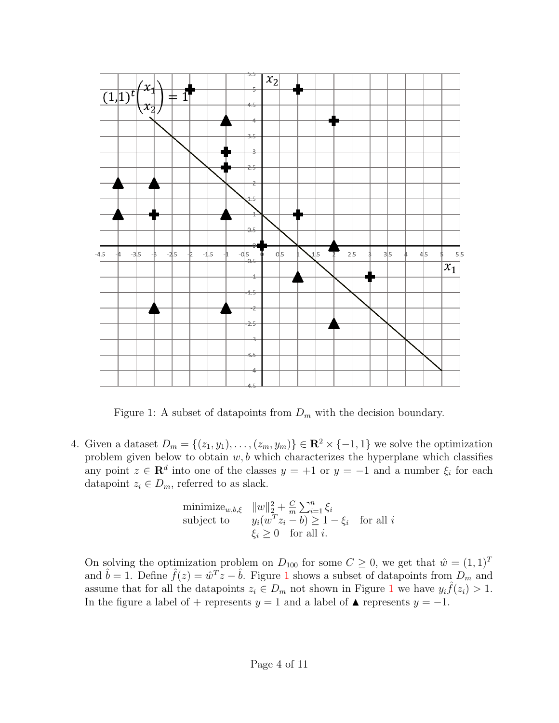

Figure 1: A subset of datapoints from  $D_m$  with the decision boundary.

<span id="page-5-0"></span>4. Given a dataset  $D_m = \{(z_1, y_1), \ldots, (z_m, y_m)\} \in \mathbb{R}^2 \times \{-1, 1\}$  we solve the optimization problem given below to obtain  $w, b$  which characterizes the hyperplane which classifies any point  $z \in \mathbf{R}^d$  into one of the classes  $y = +1$  or  $y = -1$  and a number  $\xi_i$  for each datapoint  $z_i \in D_m$ , referred to as slack.

<span id="page-5-1"></span>
$$
\begin{array}{ll}\text{minimize}_{w,b,\xi} & \|w\|_2^2 + \frac{C}{m} \sum_{i=1}^n \xi_i\\ \text{subject to} & y_i(w^T z_i - b) \ge 1 - \xi_i \quad \text{for all } i\\ & \xi_i \ge 0 \quad \text{for all } i. \end{array}
$$

On solving the optimization problem on  $D_{100}$  for some  $C \geq 0$ , we get that  $\hat{w} = (1, 1)^T$ and  $\hat{b} = 1$  $\hat{b} = 1$ . Define  $\hat{f}(z) = \hat{w}^T z - \hat{b}$ . Figure 1 shows a subset of datapoints from  $D_m$  and assume that for all the datapoints  $z_i \in D_m$  not shown in Figure [1](#page-5-1) we have  $y_i \hat{f}(z_i) > 1$ . In the figure a label of + represents  $y = 1$  and a label of  $\blacktriangle$  represents  $y = -1$ .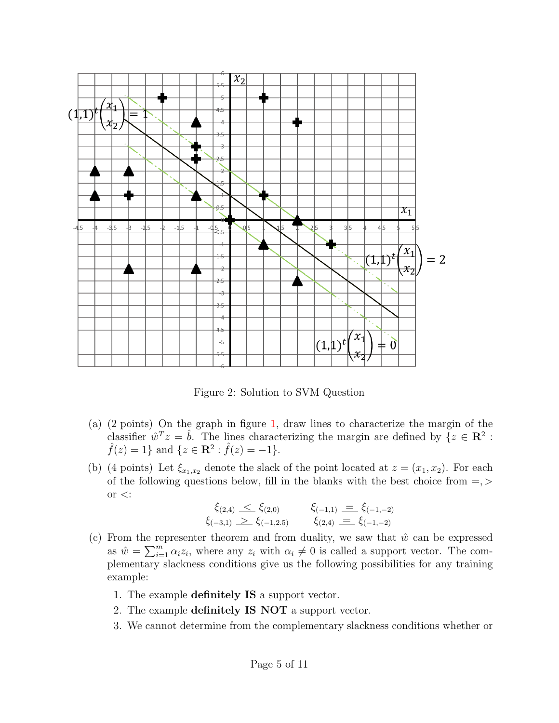

Figure 2: Solution to SVM Question

- (a) (2 points) On the graph in figure [1,](#page-5-1) draw lines to characterize the margin of the classifier  $\hat{w}^T z = \hat{b}$ . The lines characterizing the margin are defined by  $\{z \in \mathbb{R}^2 :$  $\hat{f}(z) = 1$  and  $\{z \in \mathbb{R}^2 : \hat{f}(z) = -1\}.$
- (b) (4 points) Let  $\xi_{x_1,x_2}$  denote the slack of the point located at  $z = (x_1, x_2)$ . For each of the following questions below, fill in the blanks with the best choice from  $=$ , or  $\lt$ :

$$
\xi_{(2,4)} \leq \xi_{(2,0)} \qquad \xi_{(-1,1)} \equiv \xi_{(-1,-2)} \n\xi_{(-3,1)} \geq \xi_{(-1,2.5)} \qquad \xi_{(2,4)} \equiv \xi_{(-1,-2)}
$$

- (c) From the representer theorem and from duality, we saw that  $\hat{w}$  can be expressed as  $\hat{w} = \sum_{i=1}^{m} \alpha_i z_i$ , where any  $z_i$  with  $\alpha_i \neq 0$  is called a support vector. The complementary slackness conditions give us the following possibilities for any training example:
	- 1. The example definitely IS a support vector.
	- 2. The example definitely IS NOT a support vector.
	- 3. We cannot determine from the complementary slackness conditions whether or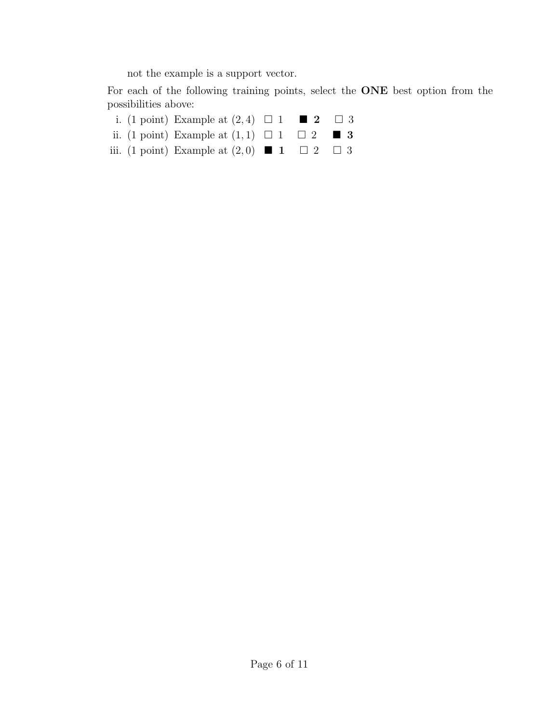not the example is a support vector.

For each of the following training points, select the ONE best option from the possibilities above:

- i. (1 point) Example at  $(2,4) \square 1 \square 2 \square 3$
- ii. (1 point) Example at  $(1,1) \square 1 \square 2 \square 3$
- iii. (1 point) Example at  $(2,0)$  **1**  $\Box$  2  $\Box$  3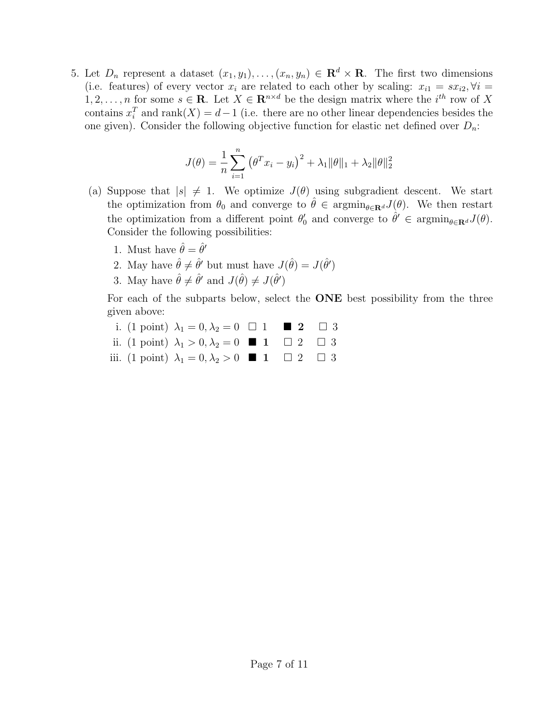<span id="page-8-0"></span>5. Let  $D_n$  represent a dataset  $(x_1, y_1), \ldots, (x_n, y_n) \in \mathbf{R}^d \times \mathbf{R}$ . The first two dimensions (i.e. features) of every vector  $x_i$  are related to each other by scaling:  $x_{i1} = sx_{i2}, \forall i =$  $1, 2, \ldots, n$  for some  $s \in \mathbf{R}$ . Let  $X \in \mathbf{R}^{n \times d}$  be the design matrix where the  $i^{th}$  row of X contains  $x_i^T$  and  $\text{rank}(X) = d-1$  (i.e. there are no other linear dependencies besides the one given). Consider the following objective function for elastic net defined over  $D_n$ :

$$
J(\theta) = \frac{1}{n} \sum_{i=1}^{n} (\theta^T x_i - y_i)^2 + \lambda_1 ||\theta||_1 + \lambda_2 ||\theta||_2^2
$$

- (a) Suppose that  $|s| \neq 1$ . We optimize  $J(\theta)$  using subgradient descent. We start the optimization from  $\theta_0$  and converge to  $\theta \in \operatorname{argmin}_{\theta \in \mathbf{R}^d} J(\theta)$ . We then restart the optimization from a different point  $\theta'_0$  and converge to  $\hat{\theta}' \in \operatorname{argmin}_{\theta \in \mathbf{R}^d} J(\theta)$ . Consider the following possibilities:
	- 1. Must have  $\hat{\theta} = \hat{\theta}'$
	- 2. May have  $\hat{\theta} \neq \hat{\theta}'$  but must have  $J(\hat{\theta}) = J(\hat{\theta}')$
	- 3. May have  $\hat{\theta} \neq \hat{\theta}'$  and  $J(\hat{\theta}) \neq J(\hat{\theta}')$

For each of the subparts below, select the ONE best possibility from the three given above:

- i. (1 point)  $\lambda_1 = 0, \lambda_2 = 0 \quad \square \quad 1 \quad \blacksquare \quad 2 \quad \square \quad 3$
- ii. (1 point)  $\lambda_1 > 0, \lambda_2 = 0$  **1**  $\Box$  2  $\Box$  3
- iii. (1 point)  $\lambda_1 = 0, \lambda_2 > 0$  **1**  $\Box$  2  $\Box$  3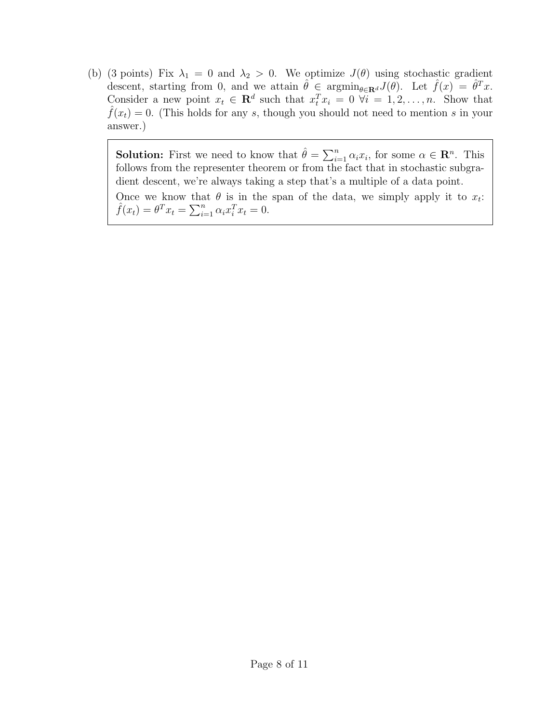(b) (3 points) Fix  $\lambda_1 = 0$  and  $\lambda_2 > 0$ . We optimize  $J(\theta)$  using stochastic gradient descent, starting from 0, and we attain  $\hat{\theta} \in \operatorname{argmin}_{\theta \in \mathbf{R}^d} J(\theta)$ . Let  $\hat{f}(x) = \hat{\theta}^T x$ . Consider a new point  $x_t \in \mathbf{R}^d$  such that  $x_t^T x_i = 0 \ \forall i = 1, 2, \ldots, n$ . Show that  $f(x_t) = 0$ . (This holds for any s, though you should not need to mention s in your answer.)

**Solution:** First we need to know that  $\hat{\theta} = \sum_{i=1}^{n} \alpha_i x_i$ , for some  $\alpha \in \mathbb{R}^n$ . This follows from the representer theorem or from the fact that in stochastic subgradient descent, we're always taking a step that's a multiple of a data point. Once we know that  $\theta$  is in the span of the data, we simply apply it to  $x_t$ :  $\hat{f}(x_t) = \theta^T x_t = \sum_{i=1}^n \alpha_i x_i^T x_t = 0.$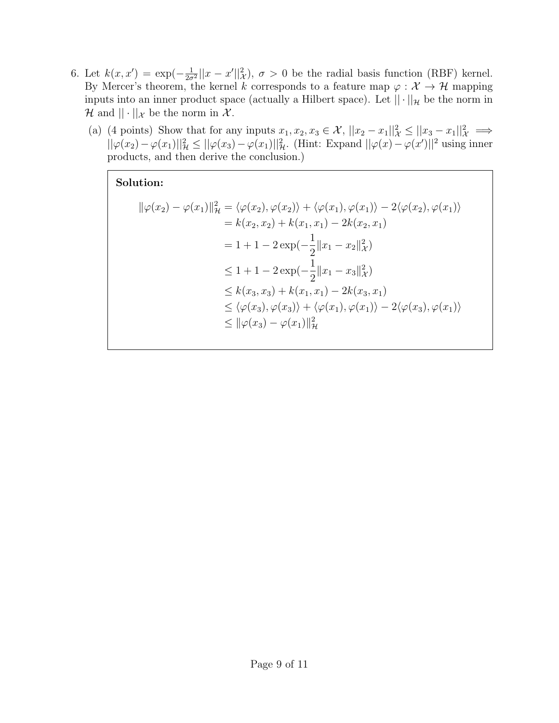- <span id="page-10-0"></span>6. Let  $k(x, x') = \exp(-\frac{1}{2\pi})$  $\frac{1}{2\sigma^2}||x-x'||^2_{\mathcal{X}}$ ,  $\sigma > 0$  be the radial basis function (RBF) kernel. By Mercer's theorem, the kernel k corresponds to a feature map  $\varphi : \mathcal{X} \to \mathcal{H}$  mapping inputs into an inner product space (actually a Hilbert space). Let  $|| \cdot ||_{\mathcal{H}}$  be the norm in H and  $|| \cdot ||_{\mathcal{X}}$  be the norm in  $\mathcal{X}$ .
	- (a) (4 points) Show that for any inputs  $x_1, x_2, x_3 \in \mathcal{X}$ ,  $||x_2 x_1||^2 \times ||x_3 x_1||^2 \times \implies$  $||\varphi(x_2) - \varphi(x_1)||_{\mathcal{H}}^2 \le ||\varphi(x_3) - \varphi(x_1)||_{\mathcal{H}}^2$ . (Hint: Expand  $||\varphi(x) - \varphi(x')||^2$  using inner products, and then derive the conclusion.)

## Solution:

$$
\|\varphi(x_2) - \varphi(x_1)\|_{\mathcal{H}}^2 = \langle \varphi(x_2), \varphi(x_2) \rangle + \langle \varphi(x_1), \varphi(x_1) \rangle - 2\langle \varphi(x_2), \varphi(x_1) \rangle \n= k(x_2, x_2) + k(x_1, x_1) - 2k(x_2, x_1) \n= 1 + 1 - 2 \exp(-\frac{1}{2} ||x_1 - x_2||_{\mathcal{H}}^2) \n\le 1 + 1 - 2 \exp(-\frac{1}{2} ||x_1 - x_3||_{\mathcal{H}}^2) \n\le k(x_3, x_3) + k(x_1, x_1) - 2k(x_3, x_1) \n\le \langle \varphi(x_3), \varphi(x_3) \rangle + \langle \varphi(x_1), \varphi(x_1) \rangle - 2\langle \varphi(x_3), \varphi(x_1) \rangle \n\le ||\varphi(x_3) - \varphi(x_1)||_{\mathcal{H}}^2
$$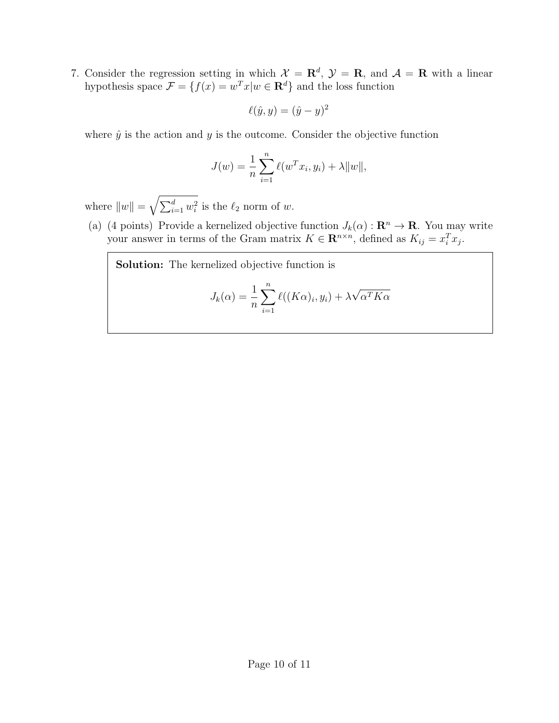<span id="page-11-0"></span>7. Consider the regression setting in which  $\mathcal{X} = \mathbf{R}^d$ ,  $\mathcal{Y} = \mathbf{R}$ , and  $\mathcal{A} = \mathbf{R}$  with a linear hypothesis space  $\mathcal{F} = \{f(x) = w^T x | w \in \mathbf{R}^d\}$  and the loss function

$$
\ell(\hat{y}, y) = (\hat{y} - y)^2
$$

where  $\hat{y}$  is the action and y is the outcome. Consider the objective function

$$
J(w) = \frac{1}{n} \sum_{i=1}^{n} \ell(w^{T} x_i, y_i) + \lambda ||w||,
$$

where  $||w|| = \sqrt{\sum_{i=1}^d w_i^2}$  is the  $\ell_2$  norm of w.

(a) (4 points) Provide a kernelized objective function  $J_k(\alpha): \mathbf{R}^n \to \mathbf{R}$ . You may write your answer in terms of the Gram matrix  $K \in \mathbb{R}^{n \times n}$ , defined as  $K_{ij} = x_i^T x_j$ .

Solution: The kernelized objective function is

$$
J_k(\alpha) = \frac{1}{n} \sum_{i=1}^n \ell((K\alpha)_i, y_i) + \lambda \sqrt{\alpha^T K \alpha}
$$